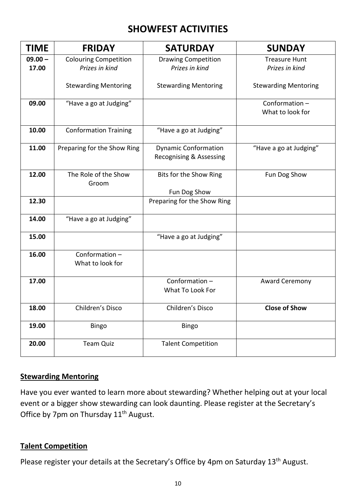## **SHOWFEST ACTIVITIES**

| <b>TIME</b>        | <b>FRIDAY</b>                                  | <b>SATURDAY</b>                                                   | <b>SUNDAY</b>                          |
|--------------------|------------------------------------------------|-------------------------------------------------------------------|----------------------------------------|
| $09.00 -$<br>17.00 | <b>Colouring Competition</b><br>Prizes in kind | <b>Drawing Competition</b><br>Prizes in kind                      | <b>Treasure Hunt</b><br>Prizes in kind |
|                    | <b>Stewarding Mentoring</b>                    | <b>Stewarding Mentoring</b>                                       | <b>Stewarding Mentoring</b>            |
| 09.00              | "Have a go at Judging"                         |                                                                   | Conformation-<br>What to look for      |
| 10.00              | <b>Conformation Training</b>                   | "Have a go at Judging"                                            |                                        |
| 11.00              | Preparing for the Show Ring                    | <b>Dynamic Conformation</b><br><b>Recognising &amp; Assessing</b> | "Have a go at Judging"                 |
| 12.00              | The Role of the Show<br>Groom                  | Bits for the Show Ring<br>Fun Dog Show                            | Fun Dog Show                           |
| 12.30              |                                                | Preparing for the Show Ring                                       |                                        |
| 14.00              | "Have a go at Judging"                         |                                                                   |                                        |
| 15.00              |                                                | "Have a go at Judging"                                            |                                        |
| 16.00              | Conformation-<br>What to look for              |                                                                   |                                        |
| 17.00              |                                                | Conformation-<br>What To Look For                                 | <b>Award Ceremony</b>                  |
| 18.00              | Children's Disco                               | Children's Disco                                                  | <b>Close of Show</b>                   |
| 19.00              | Bingo                                          | Bingo                                                             |                                        |
| 20.00              | <b>Team Quiz</b>                               | <b>Talent Competition</b>                                         |                                        |

#### **Stewarding Mentoring**

Have you ever wanted to learn more about stewarding? Whether helping out at your local event or a bigger show stewarding can look daunting. Please register at the Secretary's Office by 7pm on Thursday 11<sup>th</sup> August.

#### **Talent Competition**

Please register your details at the Secretary's Office by 4pm on Saturday 13<sup>th</sup> August.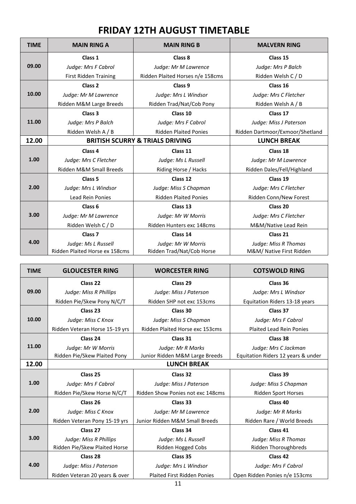### **FRIDAY 12TH AUGUST TIMETABLE**

| <b>TIME</b> | <b>MAIN RING A</b>             | <b>MAIN RING B</b>                         | <b>MALVERN RING</b>             |
|-------------|--------------------------------|--------------------------------------------|---------------------------------|
|             | Class 1                        | Class 8                                    | Class 15                        |
| 09.00       | Judge: Mrs F Cabrol            | Judge: Mr M Lawrence                       | Judge: Mrs P Balch              |
|             | <b>First Ridden Training</b>   | Ridden Plaited Horses n/e 158cms           | Ridden Welsh C / D              |
|             | Class 2                        | Class 9                                    | Class 16                        |
| 10.00       | Judge: Mr M Lawrence           | Judge: Mrs L Windsor                       | Judge: Mrs C Fletcher           |
|             | Ridden M&M Large Breeds        | Ridden Trad/Nat/Cob Pony                   | Ridden Welsh A / B              |
|             | Class 3                        | Class 10                                   | Class 17                        |
| 11.00       | Judge: Mrs P Balch             | Judge: Mrs F Cabrol                        | Judge: Miss J Paterson          |
|             | Ridden Welsh A / B             | <b>Ridden Plaited Ponies</b>               | Ridden Dartmoor/Exmoor/Shetland |
| 12.00       |                                | <b>BRITISH SCURRY &amp; TRIALS DRIVING</b> | <b>LUNCH BREAK</b>              |
|             | Class <sub>4</sub>             | Class 11                                   | Class 18                        |
| 1.00        | Judge: Mrs C Fletcher          | Judge: Ms L Russell                        | Judge: Mr M Lawrence            |
|             | Ridden M&M Small Breeds        | Riding Horse / Hacks                       | Ridden Dales/Fell/Highland      |
|             | Class <sub>5</sub>             | Class 12                                   | Class 19                        |
| 2.00        | Judge: Mrs L Windsor           | Judge: Miss S Chapman                      | Judge: Mrs C Fletcher           |
|             | <b>Lead Rein Ponies</b>        | <b>Ridden Plaited Ponies</b>               | Ridden Conn/New Forest          |
|             | Class <sub>6</sub>             | Class 13                                   | Class 20                        |
| 3.00        | Judge: Mr M Lawrence           | Judge: Mr W Morris                         | Judge: Mrs C Fletcher           |
|             | Ridden Welsh C / D             | Ridden Hunters exc 148cms                  | M&M/Native Lead Rein            |
|             | Class <sub>7</sub>             | Class 14                                   | Class 21                        |
| 4.00        | Judge: Ms L Russell            | Judge: Mr W Morris                         | Judge: Miss R Thomas            |
|             | Ridden Plaited Horse ex 158cms | Ridden Trad/Nat/Cob Horse                  | M&M/ Native First Ridden        |

| <b>TIME</b> | <b>GLOUCESTER RING</b>         | <b>WORCESTER RING</b>              | <b>COTSWOLD RING</b>               |
|-------------|--------------------------------|------------------------------------|------------------------------------|
|             | Class 22                       | Class 29                           | Class 36                           |
| 09.00       | Judge: Miss R Phillips         | Judge: Miss J Paterson             | Judge: Mrs L Windsor               |
|             | Ridden Pie/Skew Pony N/C/T     | Ridden SHP not exc 153cms          | Equitation Riders 13-18 years      |
|             | Class 23                       | Class 30                           | Class 37                           |
| 10.00       | Judge: Miss C Knox             | Judge: Miss S Chapman              | Judge: Mrs F Cabrol                |
|             | Ridden Veteran Horse 15-19 yrs | Ridden Plaited Horse exc 153cms    | <b>Plaited Lead Rein Ponies</b>    |
|             | Class 24                       | Class 31                           | Class 38                           |
| 11.00       | Judge: Mr W Morris             | Judge: Mr R Marks                  | Judge: Mrs C Jackman               |
|             | Ridden Pie/Skew Plaited Pony   | Junior Ridden M&M Large Breeds     | Equitation Riders 12 years & under |
| 12.00       |                                | <b>LUNCH BREAK</b>                 |                                    |
|             | Class 25                       | Class 32                           | Class 39                           |
| 1.00        | Judge: Mrs F Cabrol            | Judge: Miss J Paterson             | Judge: Miss S Chapman              |
|             | Ridden Pie/Skew Horse N/C/T    | Ridden Show Ponies not exc 148cms  | <b>Ridden Sport Horses</b>         |
|             | Class 26                       | Class 33                           | Class 40                           |
| 2.00        | Judge: Miss C Knox             | Judge: Mr M Lawrence               | Judge: Mr R Marks                  |
|             | Ridden Veteran Pony 15-19 yrs  | Junior Ridden M&M Small Breeds     | Ridden Rare / World Breeds         |
|             | Class 27                       | Class 34                           | Class 41                           |
| 3.00        | Judge: Miss R Phillips         | Judge: Ms L Russell                | Judge: Miss R Thomas               |
|             | Ridden Pie/Skew Plaited Horse  | Ridden Hogged Cobs                 | Ridden Thoroughbreds               |
|             | Class 28                       | Class 35                           | Class 42                           |
| 4.00        | Judge: Miss J Paterson         | Judge: Mrs L Windsor               | Judge: Mrs F Cabrol                |
|             | Ridden Veteran 20 years & over | <b>Plaited First Ridden Ponies</b> | Open Ridden Ponies n/e 153cms      |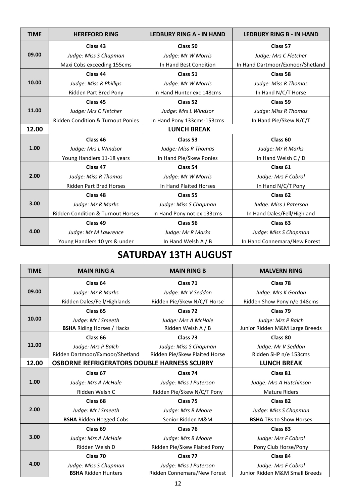| <b>TIME</b> | <b>HEREFORD RING</b>                         | <b>LEDBURY RING A - IN HAND</b> | <b>LEDBURY RING B - IN HAND</b>  |
|-------------|----------------------------------------------|---------------------------------|----------------------------------|
|             | Class 43                                     | Class 50                        | Class 57                         |
| 09.00       | Judge: Miss S Chapman                        | Judge: Mr W Morris              | Judge: Mrs C Fletcher            |
|             | Maxi Cobs exceeding 155cms                   | In Hand Best Condition          | In Hand Dartmoor/Exmoor/Shetland |
|             | Class 44                                     | Class 51                        | Class <sub>58</sub>              |
| 10.00       | Judge: Miss R Phillips                       | Judge: Mr W Morris              | Judge: Miss R Thomas             |
|             | Ridden Part Bred Pony                        | In Hand Hunter exc 148cms       | In Hand N/C/T Horse              |
|             | Class 45                                     | Class 52                        | Class 59                         |
| 11.00       | Judge: Mrs C Fletcher                        | Judge: Mrs L Windsor            | Judge: Miss R Thomas             |
|             | <b>Ridden Condition &amp; Turnout Ponies</b> | In Hand Pony 133cms-153cms      | In Hand Pie/Skew N/C/T           |
| 12.00       |                                              | <b>LUNCH BREAK</b>              |                                  |
|             | Class 46                                     | Class 53                        | Class <sub>60</sub>              |
| 1.00        | Judge: Mrs L Windsor                         | Judge: Miss R Thomas            | Judge: Mr R Marks                |
|             | Young Handlers 11-18 years                   | In Hand Pie/Skew Ponies         | In Hand Welsh C / D              |
|             | Class 47                                     | Class 54                        | Class 61                         |
| 2.00        | Judge: Miss R Thomas                         | Judge: Mr W Morris              | Judge: Mrs F Cabrol              |
|             | <b>Ridden Part Bred Horses</b>               | In Hand Plaited Horses          | In Hand N/C/T Pony               |
|             | Class 48                                     | Class 55                        | Class <sub>62</sub>              |
| 3.00        | Judge: Mr R Marks                            | Judge: Miss S Chapman           | Judge: Miss J Paterson           |
|             | <b>Ridden Condition &amp; Turnout Horses</b> | In Hand Pony not ex 133cms      | In Hand Dales/Fell/Highland      |
|             | Class 49                                     | Class 56                        | Class <sub>63</sub>              |
| 4.00        | Judge: Mr M Lawrence                         | Judge: Mr R Marks               | Judge: Miss S Chapman            |
|             | Young Handlers 10 yrs & under                | In Hand Welsh A / B             | In Hand Connemara/New Forest     |

# **SATURDAY 13TH AUGUST**

| <b>TIME</b> | <b>MAIN RING A</b>                                 | <b>MAIN RING B</b>            | <b>MALVERN RING</b>            |
|-------------|----------------------------------------------------|-------------------------------|--------------------------------|
|             | Class 64                                           | Class 71                      | Class <sub>78</sub>            |
| 09.00       | Judge: Mr R Marks                                  | Judge: Mr V Seddon            | Judge: Mrs K Gordon            |
|             | Ridden Dales/Fell/Highlands                        | Ridden Pie/Skew N/C/T Horse   | Ridden Show Pony n/e 148cms    |
|             | Class 65                                           | Class <sub>72</sub>           | Class <sub>79</sub>            |
| 10.00       | Judge: Mr I Smeeth                                 | Judge: Mrs A McHale           | Judge: Mrs P Balch             |
|             | <b>BSHA</b> Riding Horses / Hacks                  | Ridden Welsh A / B            | Junior Ridden M&M Large Breeds |
|             | Class <sub>66</sub>                                | Class <sub>73</sub>           | Class 80                       |
| 11.00       | Judge: Mrs P Balch                                 | Judge: Miss S Chapman         | Judge: Mr V Seddon             |
|             | Ridden Dartmoor/Exmoor/Shetland                    | Ridden Pie/Skew Plaited Horse | Ridden SHP n/e 153cms          |
| 12.00       | <b>OSBORNE REFRIGERATORS DOUBLE HARNESS SCURRY</b> |                               | <b>LUNCH BREAK</b>             |
| 1.00        | Class 67                                           | Class 74                      | Class 81                       |
|             | Judge: Mrs A McHale                                | Judge: Miss J Paterson        | Judge: Mrs A Hutchinson        |
|             | Ridden Welsh C                                     | Ridden Pie/Skew N/C/T Pony    | <b>Mature Riders</b>           |
|             | Class <sub>68</sub>                                | Class <sub>75</sub>           | Class 82                       |
| 2.00        | Judge: Mr I Smeeth                                 | Judge: Mrs B Moore            | Judge: Miss S Chapman          |
|             | <b>BSHA Ridden Hogged Cobs</b>                     | Senior Ridden M&M             | <b>BSHA TBs to Show Horses</b> |
| 3.00        | Class <sub>69</sub>                                | Class 76                      | Class 83                       |
|             | Judge: Mrs A McHale                                | Judge: Mrs B Moore            | Judge: Mrs F Cabrol            |
|             | Ridden Welsh D                                     | Ridden Pie/Skew Plaited Pony  | Pony Club Horse/Pony           |
|             | Class 70                                           | Class 77                      | Class 84                       |
| 4.00        | Judge: Miss S Chapman                              | Judge: Miss J Paterson        | Judge: Mrs F Cabrol            |
|             | <b>BSHA Ridden Hunters</b>                         | Ridden Connemara/New Forest   | Junior Ridden M&M Small Breeds |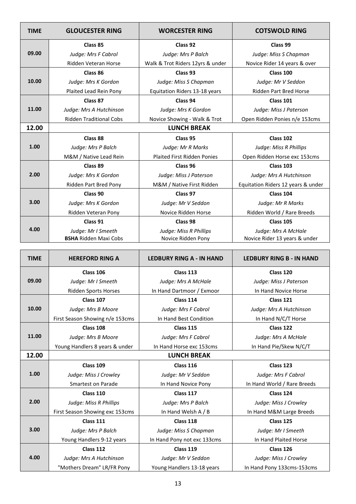| <b>TIME</b> | <b>GLOUCESTER RING</b>         | <b>WORCESTER RING</b>              | <b>COTSWOLD RING</b>               |
|-------------|--------------------------------|------------------------------------|------------------------------------|
|             | Class 85                       | Class 92                           | Class 99                           |
| 09.00       | Judge: Mrs F Cabrol            | Judge: Mrs P Balch                 | Judge: Miss S Chapman              |
|             | Ridden Veteran Horse           | Walk & Trot Riders 12yrs & under   | Novice Rider 14 years & over       |
|             | Class 86                       | Class 93                           | Class 100                          |
| 10.00       | Judge: Mrs K Gordon            | Judge: Miss S Chapman              | Judge: Mr V Seddon                 |
|             | Plaited Lead Rein Pony         | Equitation Riders 13-18 years      | <b>Ridden Part Bred Horse</b>      |
|             | Class 87                       | Class 94                           | <b>Class 101</b>                   |
| 11.00       | Judge: Mrs A Hutchinson        | Judge: Mrs K Gordon                | Judge: Miss J Paterson             |
|             | <b>Ridden Traditional Cobs</b> | Novice Showing - Walk & Trot       | Open Ridden Ponies n/e 153cms      |
| 12.00       |                                | <b>LUNCH BREAK</b>                 |                                    |
|             | Class 88                       | Class 95                           | Class 102                          |
| 1.00        | Judge: Mrs P Balch             | Judge: Mr R Marks                  | Judge: Miss R Phillips             |
|             | M&M / Native Lead Rein         | <b>Plaited First Ridden Ponies</b> | Open Ridden Horse exc 153cms       |
|             | Class 89                       | Class 96                           | Class 103                          |
| 2.00        | Judge: Mrs K Gordon            | Judge: Miss J Paterson             | Judge: Mrs A Hutchinson            |
|             | Ridden Part Bred Pony          | M&M / Native First Ridden          | Equitation Riders 12 years & under |
| 3.00        | Class 90                       | Class 97                           | Class 104                          |
|             | Judge: Mrs K Gordon            | Judge: Mr V Seddon                 | Judge: Mr R Marks                  |
|             | Ridden Veteran Pony            | Novice Ridden Horse                | Ridden World / Rare Breeds         |
|             | Class 91                       | Class 98                           | <b>Class 105</b>                   |
| 4.00        | Judge: Mr I Smeeth             | Judge: Miss R Phillips             | Judge: Mrs A McHale                |
|             | <b>BSHA Ridden Maxi Cobs</b>   | Novice Ridden Pony                 | Novice Rider 13 years & under      |

| <b>TIME</b> | <b>HEREFORD RING A</b>          | <b>LEDBURY RING A - IN HAND</b> | <b>LEDBURY RING B - IN HAND</b> |
|-------------|---------------------------------|---------------------------------|---------------------------------|
|             | Class 106                       | Class 113                       | Class 120                       |
| 09.00       | Judge: Mr I Smeeth              | Judge: Mrs A McHale             | Judge: Miss J Paterson          |
|             | <b>Ridden Sports Horses</b>     | In Hand Dartmoor / Exmoor       | In Hand Novice Horse            |
|             | Class 107                       | Class 114                       | Class 121                       |
| 10.00       | Judge: Mrs B Moore              | Judge: Mrs F Cabrol             | Judge: Mrs A Hutchinson         |
|             | First Season Showing n/e 153cms | In Hand Best Condition          | In Hand N/C/T Horse             |
|             | Class 108                       | <b>Class 115</b>                | Class 122                       |
| 11.00       | Judge: Mrs B Moore              | Judge: Mrs F Cabrol             | Judge: Mrs A McHale             |
|             | Young Handlers 8 years & under  | In Hand Horse exc 153cms        | In Hand Pie/Skew N/C/T          |
| 12.00       |                                 | <b>LUNCH BREAK</b>              |                                 |
| 1.00        | Class 109                       | Class 116                       | Class 123                       |
|             | Judge: Miss J Crowley           | Judge: Mr V Seddon              | Judge: Mrs F Cabrol             |
|             | <b>Smartest on Parade</b>       | In Hand Novice Pony             | In Hand World / Rare Breeds     |
|             | Class 110                       | Class 117                       | Class 124                       |
| 2.00        | Judge: Miss R Phillips          | Judge: Mrs P Balch              | Judge: Miss J Crowley           |
|             | First Season Showing exc 153cms | In Hand Welsh A / B             | In Hand M&M Large Breeds        |
|             | Class 111                       | Class 118                       | Class 125                       |
| 3.00        | Judge: Mrs P Balch              | Judge: Miss S Chapman           | Judge: Mr I Smeeth              |
|             | Young Handlers 9-12 years       | In Hand Pony not exc 133cms     | In Hand Plaited Horse           |
|             | Class 112                       | Class 119                       | Class 126                       |
| 4.00        | Judge: Mrs A Hutchinson         | Judge: Mr V Seddon              | Judge: Miss J Crowley           |
|             | "Mothers Dream" LR/FR Pony      | Young Handlers 13-18 years      | In Hand Pony 133cms-153cms      |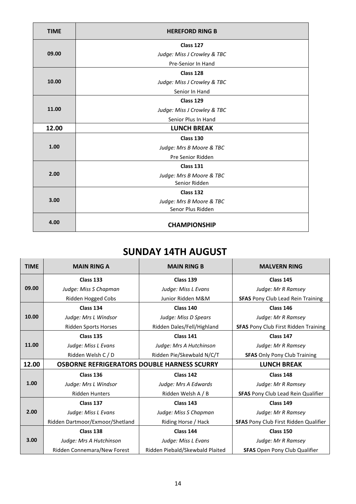| <b>TIME</b> | <b>HEREFORD RING B</b>      |
|-------------|-----------------------------|
|             | Class 127                   |
| 09.00       | Judge: Miss J Crowley & TBC |
|             | Pre-Senior In Hand          |
|             | Class 128                   |
| 10.00       | Judge: Miss J Crowley & TBC |
|             | Senior In Hand              |
|             | Class 129                   |
| 11.00       | Judge: Miss J Crowley & TBC |
|             | Senior Plus In Hand         |
| 12.00       | <b>LUNCH BREAK</b>          |
|             | Class 130                   |
| 1.00        | Judge: Mrs B Moore & TBC    |
|             | Pre Senior Ridden           |
|             | <b>Class 131</b>            |
| 2.00        | Judge: Mrs B Moore & TBC    |
|             | Senior Ridden               |
|             | Class 132                   |
| 3.00        | Judge: Mrs B Moore & TBC    |
|             | Senor Plus Ridden           |
| 4.00        | <b>CHAMPIONSHIP</b>         |

#### **SUNDAY 14TH AUGUST**

| <b>TIME</b> | <b>MAIN RING A</b>                                 | <b>MAIN RING B</b>              | <b>MALVERN RING</b>                          |
|-------------|----------------------------------------------------|---------------------------------|----------------------------------------------|
|             | Class 133                                          | Class 139                       | Class 145                                    |
| 09.00       | Judge: Miss S Chapman                              | Judge: Miss L Evans             | Judge: Mr R Ramsey                           |
|             | Ridden Hogged Cobs                                 | Junior Ridden M&M               | <b>SFAS</b> Pony Club Lead Rein Training     |
|             | Class 134                                          | Class 140                       | Class 146                                    |
| 10.00       | Judge: Mrs L Windsor                               | Judge: Miss D Spears            | Judge: Mr R Ramsey                           |
|             | Ridden Sports Horses                               | Ridden Dales/Fell/Highland      | <b>SFAS</b> Pony Club First Ridden Training  |
|             | Class 135                                          | Class 141                       | Class 147                                    |
| 11.00       | Judge: Miss L Evans                                | Judge: Mrs A Hutchinson         | Judge: Mr R Ramsey                           |
|             | Ridden Welsh C / D                                 | Ridden Pie/Skewbald N/C/T       | <b>SFAS Only Pony Club Training</b>          |
| 12.00       | <b>OSBORNE REFRIGERATORS DOUBLE HARNESS SCURRY</b> |                                 | <b>LUNCH BREAK</b>                           |
|             | Class 136                                          | Class 142                       | Class 148                                    |
| 1.00        | Judge: Mrs L Windsor                               | Judge: Mrs A Edwards            | Judge: Mr R Ramsey                           |
|             | <b>Ridden Hunters</b>                              | Ridden Welsh A / B              | <b>SFAS</b> Pony Club Lead Rein Qualifier    |
|             | Class 137                                          | Class 143                       | Class 149                                    |
| 2.00        | Judge: Miss L Evans                                | Judge: Miss S Chapman           | Judge: Mr R Ramsey                           |
|             | Ridden Dartmoor/Exmoor/Shetland                    | Riding Horse / Hack             | <b>SFAS</b> Pony Club First Ridden Qualifier |
|             | Class 138                                          | Class 144                       | Class 150                                    |
| 3.00        | Judge: Mrs A Hutchinson                            | Judge: Miss L Evans             | Judge: Mr R Ramsey                           |
|             | Ridden Connemara/New Forest                        | Ridden Piebald/Skewbald Plaited | <b>SFAS</b> Open Pony Club Qualifier         |